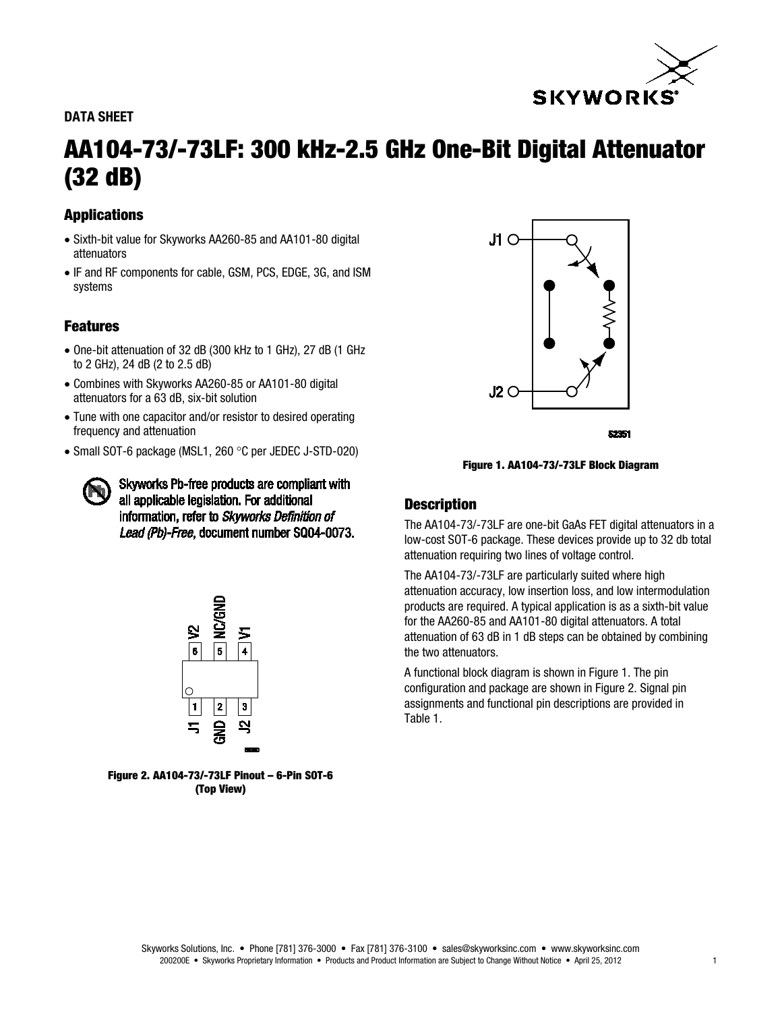

## DATA SHEET

# AA104-73/-73LF: 300 kHz-2.5 GHz One-Bit Digital Attenuator (32 dB)

## Applications

- Sixth-bit value for Skyworks AA260-85 and AA101-80 digital attenuators
- IF and RF components for cable, GSM, PCS, EDGE, 3G, and ISM systems

## Features

- One-bit attenuation of 32 dB (300 kHz to 1 GHz), 27 dB (1 GHz to 2 GHz), 24 dB (2 to 2.5 dB)
- Combines with Skyworks AA260-85 or AA101-80 digital attenuators for a 63 dB, six-bit solution
- Tune with one capacitor and/or resistor to desired operating frequency and attenuation
- Small SOT-6 package (MSL1, 260 °C per JEDEC J-STD-020)

Skyworks Pb-free products are compliant with all applicable legislation. For additional information, refer to Skyworks Definition of Lead (Pb)-Free, document number SQ04-0073.



Figure 2. AA104-73/-73LF Pinout – 6-Pin SOT-6 (Top View)



\$2251

Figure 1. AA104-73/-73LF Block Diagram

## **Description**

The AA104-73/-73LF are one-bit GaAs FET digital attenuators in a low-cost SOT-6 package. These devices provide up to 32 db total attenuation requiring two lines of voltage control.

The AA104-73/-73LF are particularly suited where high attenuation accuracy, low insertion loss, and low intermodulation products are required. A typical application is as a sixth-bit value for the AA260-85 and AA101-80 digital attenuators. A total attenuation of 63 dB in 1 dB steps can be obtained by combining the two attenuators.

A functional block diagram is shown in Figure 1. The pin configuration and package are shown in Figure 2. Signal pin assignments and functional pin descriptions are provided in Table 1.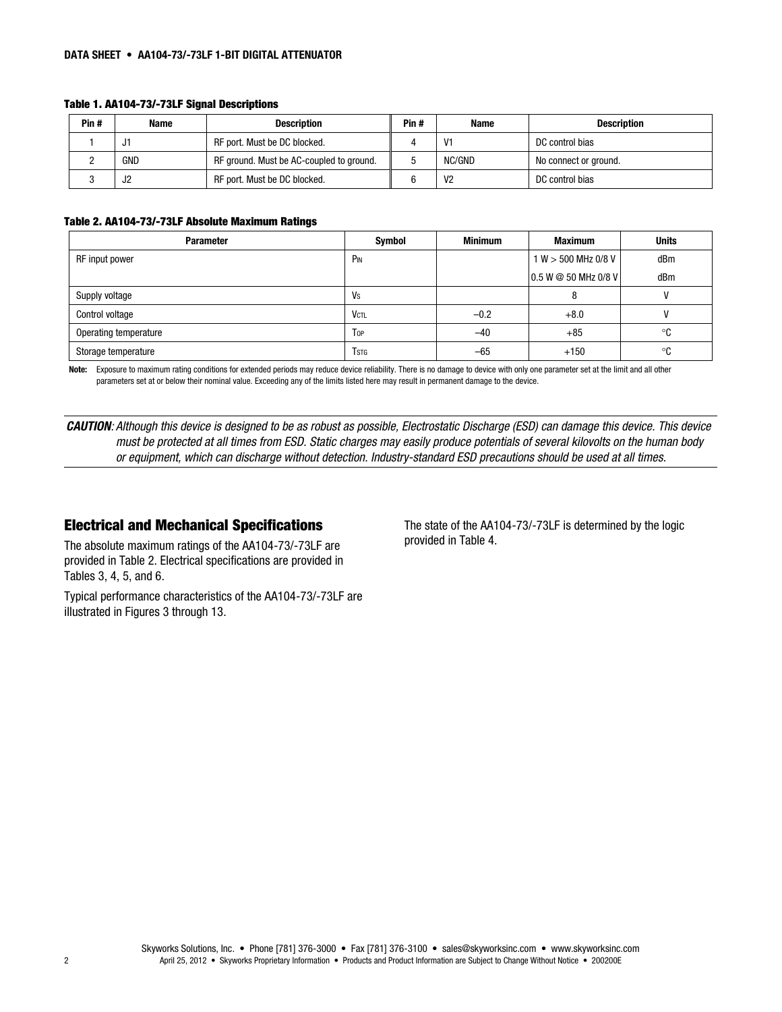#### DATA SHEET • AA104-73/-73LF 1-BIT DIGITAL ATTENUATOR

| Pin# | <b>Name</b> | <b>Description</b>                       | Pin# | <b>Name</b>    | <b>Description</b>    |
|------|-------------|------------------------------------------|------|----------------|-----------------------|
|      | JI          | RF port. Must be DC blocked.             |      | V1             | DC control bias       |
|      | GND         | RF ground. Must be AC-coupled to ground. |      | NC/GND         | No connect or ground. |
|      | J2          | RF port. Must be DC blocked.             | 6    | V <sub>2</sub> | DC control bias       |

#### Table 1. AA104-73/-73LF Signal Descriptions

### Table 2. AA104-73/-73LF Absolute Maximum Ratings

| <b>Parameter</b>      | Symbol          | <b>Minimum</b> | <b>Maximum</b>       | <b>Units</b> |
|-----------------------|-----------------|----------------|----------------------|--------------|
| RF input power        | P <sub>IN</sub> |                | 1 W > 500 MHz 0/8 V  | dBm          |
|                       |                 |                | 0.5 W @ 50 MHz 0/8 V | dBm          |
| Supply voltage        | Vs              |                | C                    |              |
| Control voltage       | <b>VCTL</b>     | $-0.2$         | $+8.0$               |              |
| Operating temperature | Top             | $-40$          | $+85$                | ∘c           |
| Storage temperature   | <b>T</b> stg    | $-65$          | $+150$               | °C           |

Note: Exposure to maximum rating conditions for extended periods may reduce device reliability. There is no damage to device with only one parameter set at the limit and all other parameters set at or below their nominal value. Exceeding any of the limits listed here may result in permanent damage to the device.

*CAUTION: Although this device is designed to be as robust as possible, Electrostatic Discharge (ESD) can damage this device. This device must be protected at all times from ESD. Static charges may easily produce potentials of several kilovolts on the human body or equipment, which can discharge without detection. Industry-standard ESD precautions should be used at all times.*

## Electrical and Mechanical Specifications

The absolute maximum ratings of the AA104-73/-73LF are provided in Table 2. Electrical specifications are provided in Tables 3, 4, 5, and 6.

Typical performance characteristics of the AA104-73/-73LF are illustrated in Figures 3 through 13.

The state of the AA104-73/-73LF is determined by the logic provided in Table 4.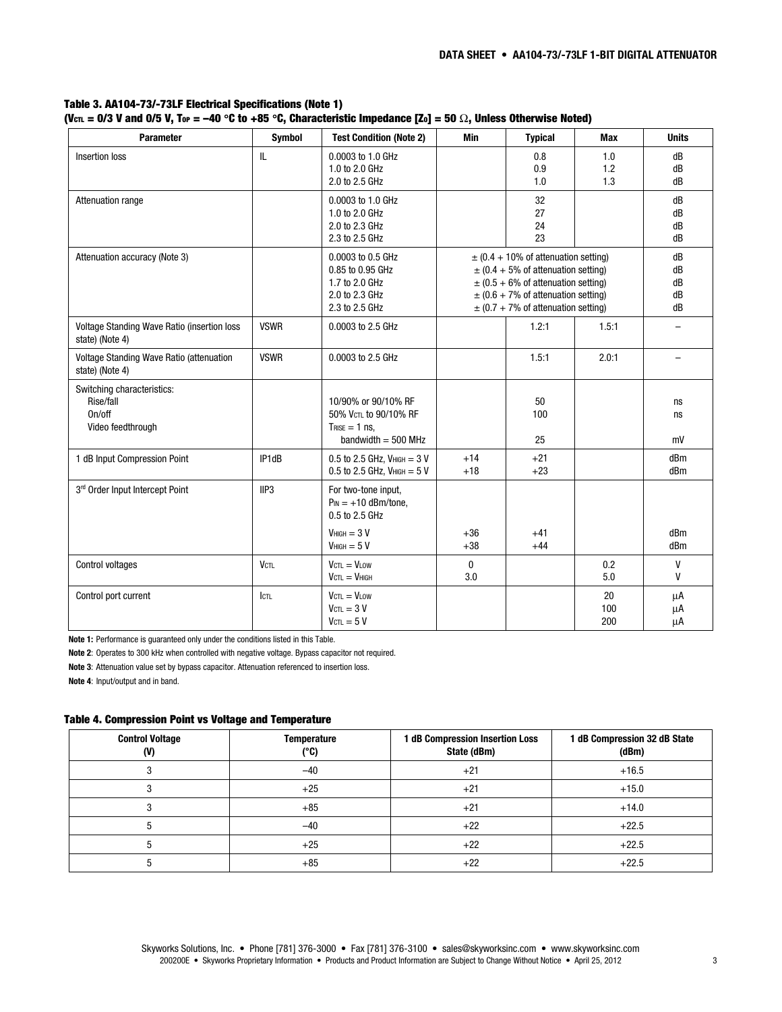| <b>Parameter</b>                                                       | <b>Symbol</b>      | <b>Test Condition (Note 2)</b>                                                              | Min                 | <b>Typical</b>                                                                                                                                                                                                       | <b>Max</b>        | <b>Units</b>               |
|------------------------------------------------------------------------|--------------------|---------------------------------------------------------------------------------------------|---------------------|----------------------------------------------------------------------------------------------------------------------------------------------------------------------------------------------------------------------|-------------------|----------------------------|
| Insertion loss                                                         | IL                 | 0.0003 to 1.0 GHz<br>1.0 to 2.0 GHz<br>2.0 to 2.5 GHz                                       |                     | 0.8<br>0.9<br>1.0                                                                                                                                                                                                    | 1.0<br>1.2<br>1.3 | dB<br>dB<br>dB             |
| Attenuation range                                                      |                    | 0.0003 to 1.0 GHz<br>1.0 to 2.0 GHz<br>2.0 to 2.3 GHz<br>2.3 to 2.5 GHz                     |                     | 32<br>27<br>24<br>23                                                                                                                                                                                                 |                   | dB<br>dB<br>dB<br>dB       |
| Attenuation accuracy (Note 3)                                          |                    | 0.0003 to 0.5 GHz<br>0.85 to 0.95 GHz<br>1.7 to 2.0 GHz<br>2.0 to 2.3 GHz<br>2.3 to 2.5 GHz |                     | $\pm$ (0.4 + 10% of attenuation setting)<br>$\pm$ (0.4 + 5% of attenuation setting)<br>$\pm$ (0.5 + 6% of attenuation setting)<br>$\pm$ (0.6 + 7% of attenuation setting)<br>$\pm$ (0.7 + 7% of attenuation setting) |                   | dB<br>dB<br>dB<br>dB<br>dB |
| Voltage Standing Wave Ratio (insertion loss<br>state) (Note 4)         | <b>VSWR</b>        | 0.0003 to 2.5 GHz                                                                           |                     | 1.2:1                                                                                                                                                                                                                | 1.5:1             |                            |
| Voltage Standing Wave Ratio (attenuation<br>state) (Note 4)            | <b>VSWR</b>        | 0.0003 to 2.5 GHz                                                                           |                     | 1.5:1                                                                                                                                                                                                                | 2.0:1             | $\overline{\phantom{0}}$   |
| Switching characteristics:<br>Rise/fall<br>On/off<br>Video feedthrough |                    | 10/90% or 90/10% RF<br>50% VCTL to 90/10% RF<br>$T_{RISE} = 1$ ns,<br>bandwidth $=$ 500 MHz |                     | 50<br>100<br>25                                                                                                                                                                                                      |                   | ns<br>ns<br>mV             |
| 1 dB Input Compression Point                                           | IP1dB              | $0.5$ to 2.5 GHz, $V$ HIGH = 3 V<br>$0.5$ to 2.5 GHz, VHIGH = 5 V                           | $+14$<br>$+18$      | $+21$<br>$+23$                                                                                                                                                                                                       |                   | dBm<br>dBm                 |
| 3rd Order Input Intercept Point                                        | IIP <sub>3</sub>   | For two-tone input,<br>$P_{IN} = +10$ dBm/tone.<br>0.5 to 2.5 GHz<br>$VHIGH = 3 V$          | $+36$               | $+41$                                                                                                                                                                                                                |                   | dBm                        |
|                                                                        |                    | $VHIGH = 5 V$                                                                               | $+38$               | $+44$                                                                                                                                                                                                                |                   | dBm                        |
| Control voltages                                                       | <b>VCTL</b>        | $V_{\text{CTL}} = V_{\text{LOW}}$<br>$VctL = VHIGH$                                         | $\mathbf{0}$<br>3.0 |                                                                                                                                                                                                                      | 0.2<br>5.0        | V<br>v                     |
| Control port current                                                   | $I$ <sub>CTL</sub> | $V_{\text{CTL}} = V_{\text{LOW}}$<br>$V_{\text{CTL}} = 3 V$<br>$V_{\text{CTL}} = 5 V$       |                     |                                                                                                                                                                                                                      | 20<br>100<br>200  | μA<br>μA<br>μA             |

Table 3. AA104-73/-73LF Electrical Specifications (Note 1) (Vcn. = 0/3 V and 0/5 V, Top = -40 °C to +85 °C, Characteristic Impedance [Zo] = 50  $\Omega$ , Unless Otherwise Noted)

Note 1: Performance is guaranteed only under the conditions listed in this Table.

Note 2: Operates to 300 kHz when controlled with negative voltage. Bypass capacitor not required.

Note 3: Attenuation value set by bypass capacitor. Attenuation referenced to insertion loss.

Note 4: Input/output and in band.

#### Table 4. Compression Point vs Voltage and Temperature

| <b>Control Voltage</b><br>(V) | <b>Temperature</b><br>(°C) | 1 dB Compression Insertion Loss<br>State (dBm) | 1 dB Compression 32 dB State<br>(dBm) |
|-------------------------------|----------------------------|------------------------------------------------|---------------------------------------|
|                               | $-40$                      | $+21$                                          | $+16.5$                               |
|                               | $+25$                      | $+21$                                          | $+15.0$                               |
|                               | $+85$                      | $+21$                                          | $+14.0$                               |
|                               | $-40$                      | $+22$                                          | $+22.5$                               |
|                               | $+25$                      | $+22$                                          | $+22.5$                               |
|                               | $+85$                      | $+22$                                          | $+22.5$                               |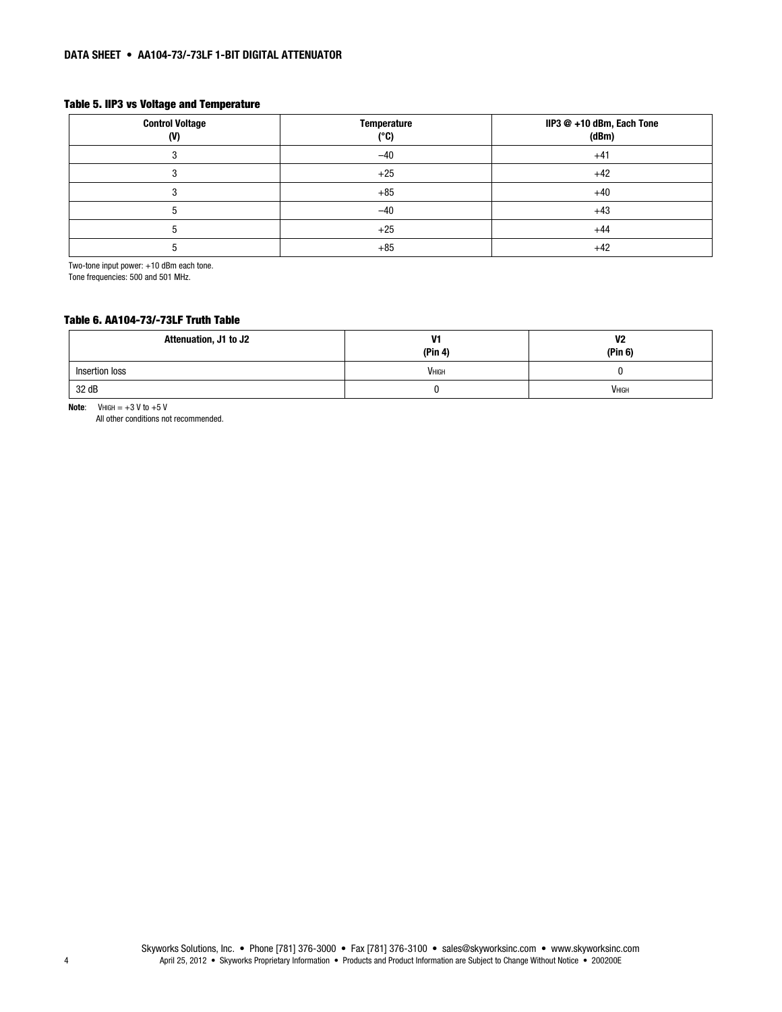### Table 5. IIP3 vs Voltage and Temperature

| <b>Control Voltage</b><br>(V) | <b>Temperature</b><br>(°C) | IIP3 @ +10 dBm, Each Tone<br>(dBm) |
|-------------------------------|----------------------------|------------------------------------|
|                               | $-40$                      | $+41$                              |
|                               | $+25$                      | $+42$                              |
|                               | $+85$                      | $+40$                              |
|                               | $-40$                      | $+43$                              |
|                               | $+25$                      | $+44$                              |
|                               | $+85$                      | $+42$                              |

Two-tone input power: +10 dBm each tone.

Tone frequencies: 500 and 501 MHz.

#### Table 6. AA104-73/-73LF Truth Table

| Attenuation, J1 to J2 | V1<br>(Pin 4) | V2<br>(Pin 6) |
|-----------------------|---------------|---------------|
| Insertion loss        | <b>VHIGH</b>  |               |
| 32 dB                 | л.            | <b>VHIGH</b>  |

Note:  $V$ HIGH =  $+3$  V to  $+5$  V

All other conditions not recommended.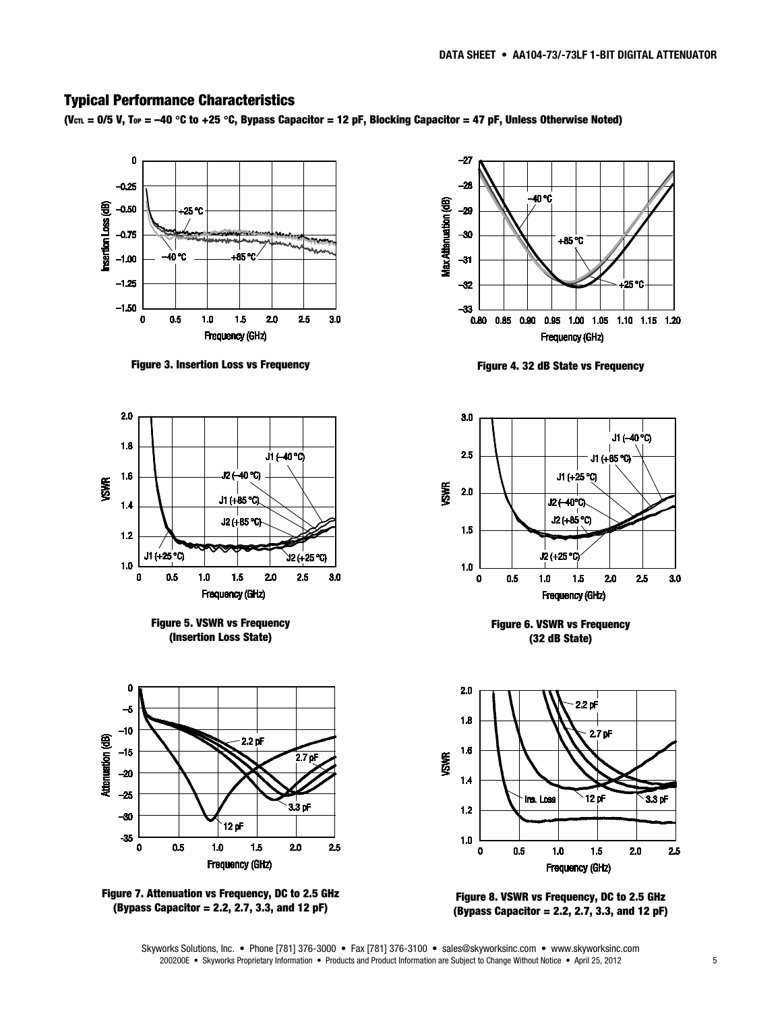## Typical Performance Characteristics

(V<sub>CTL</sub> = 0/5 V, T<sub>OP</sub> = -40 °C to +25 °C, Bypass Capacitor = 12 pF, Blocking Capacitor = 47 pF, Unless Otherwise Noted)



Figure 3. Insertion Loss vs Frequency



Figure 5. VSWR vs Frequency (Insertion Loss State)







Figure 4. 32 dB State vs Frequency



Figure 6. VSWR vs Frequency (32 dB State)



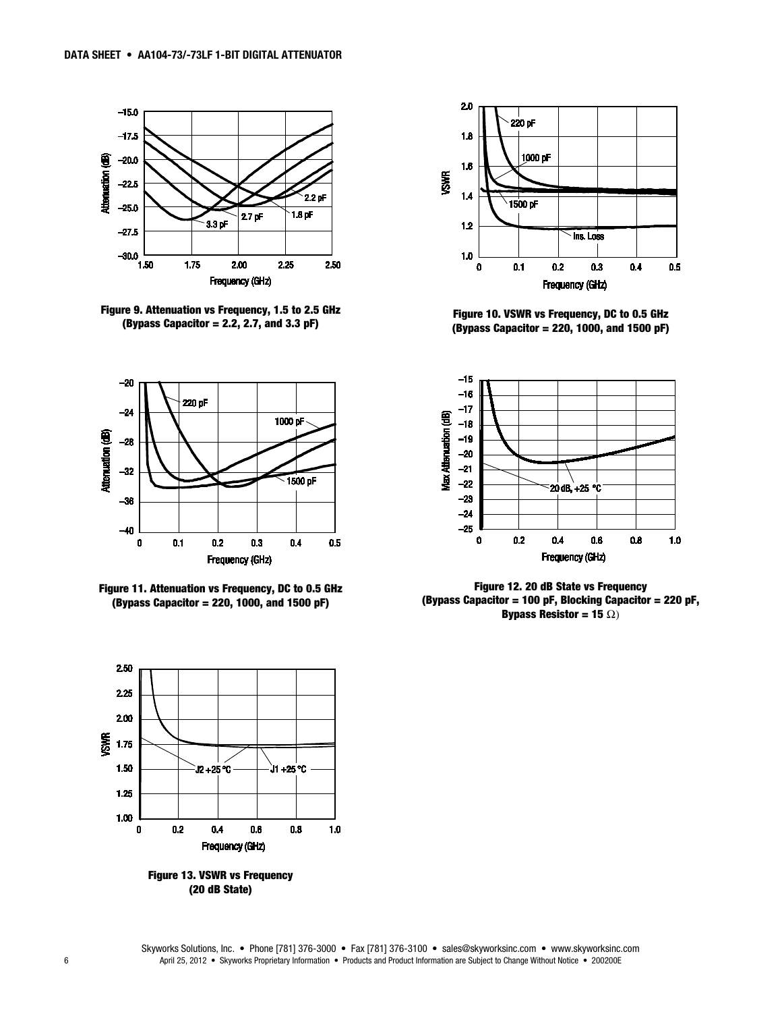

Figure 9. Attenuation vs Frequency, 1.5 to 2.5 GHz (Bypass Capacitor = 2.2, 2.7, and 3.3  $pF$ )







Figure 13. VSWR vs Frequency (20 dB State)



Figure 10. VSWR vs Frequency, DC to 0.5 GHz (Bypass Capacitor = 220, 1000, and 1500 pF)



Figure 12. 20 dB State vs Frequency (Bypass Capacitor = 100 pF, Blocking Capacitor = 220 pF, Bypass Resistor = 15  $\Omega$ )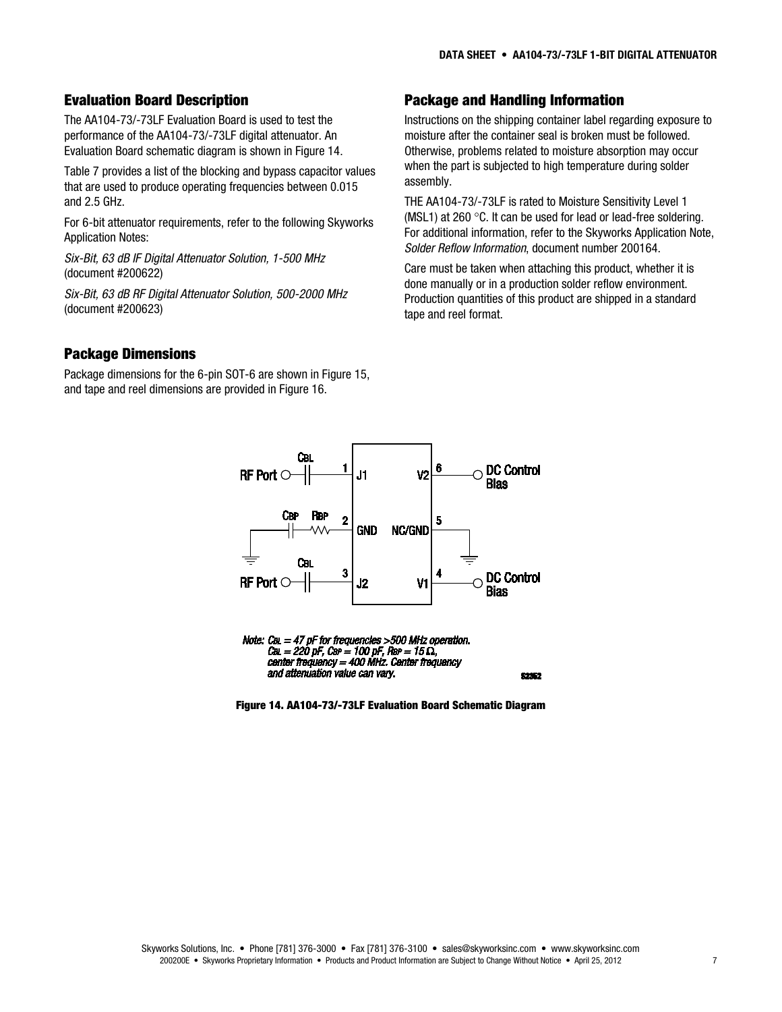## Evaluation Board Description

The AA104-73/-73LF Evaluation Board is used to test the performance of the AA104-73/-73LF digital attenuator. An Evaluation Board schematic diagram is shown in Figure 14.

Table 7 provides a list of the blocking and bypass capacitor values that are used to produce operating frequencies between 0.015 and 2.5 GHz.

For 6-bit attenuator requirements, refer to the following Skyworks Application Notes:

*Six-Bit, 63 dB IF Digital Attenuator Solution, 1-500 MHz* (document #200622)

*Six-Bit, 63 dB RF Digital Attenuator Solution, 500-2000 MHz* (document #200623)

## Package and Handling Information

Instructions on the shipping container label regarding exposure to moisture after the container seal is broken must be followed. Otherwise, problems related to moisture absorption may occur when the part is subjected to high temperature during solder assembly.

THE AA104-73/-73LF is rated to Moisture Sensitivity Level 1 (MSL1) at 260 °C. It can be used for lead or lead-free soldering. For additional information, refer to the Skyworks Application Note, *Solder Reflow Information*, document number 200164.

Care must be taken when attaching this product, whether it is done manually or in a production solder reflow environment. Production quantities of this product are shipped in a standard tape and reel format.

## Package Dimensions

Package dimensions for the 6-pin SOT-6 are shown in Figure 15, and tape and reel dimensions are provided in Figure 16.





Figure 14. AA104-73/-73LF Evaluation Board Schematic Diagram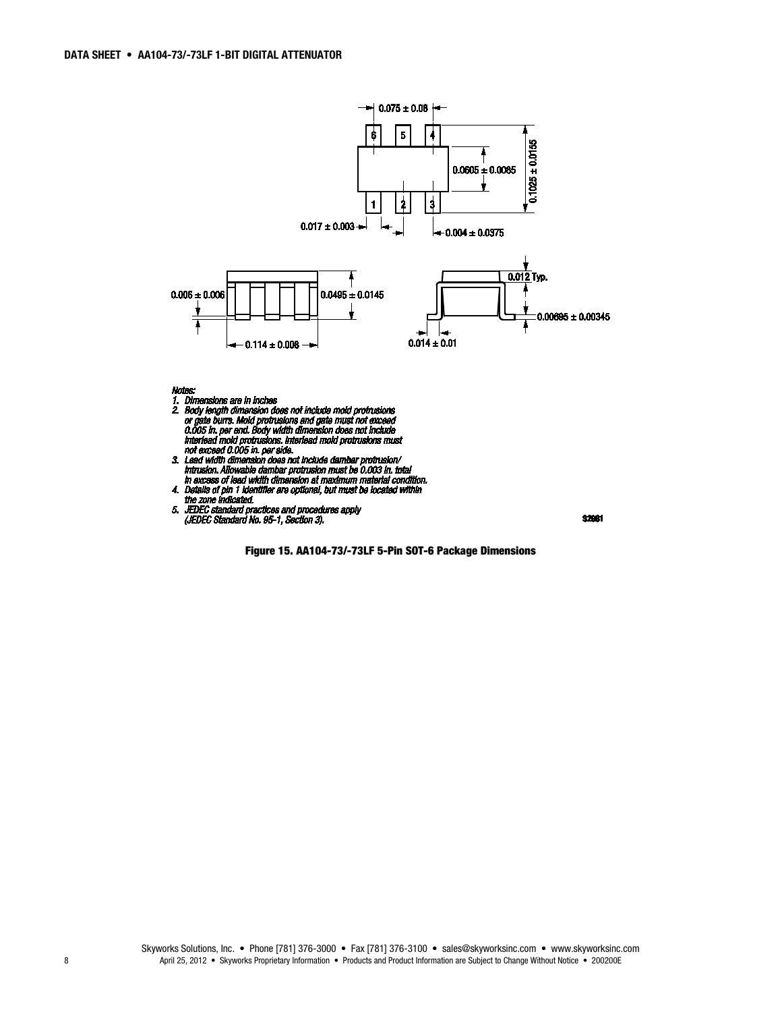

#### Notes:

- 
- Notes:<br>
1. Dimensions are in inches<br>
2. Body length dimension does not include mold protrusions<br>
or gate burrs. Mold protrusions and gate must not exceed<br>
0.005 in. per end. Body width dimension does not include<br>
interlead
- 
- 
- 



Figure 15. AA104-73/-73LF 5-Pin SOT-6 Package Dimensions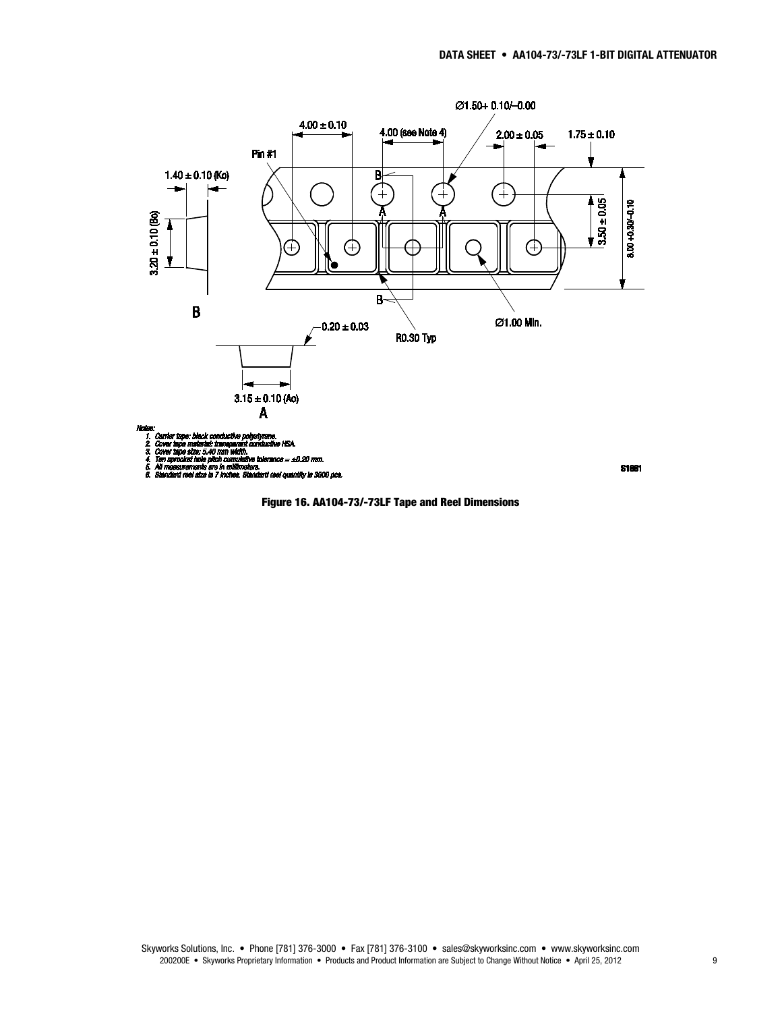

vs.<br>ndard reel quantity is 3000 pcs. юÑ

**S1681**